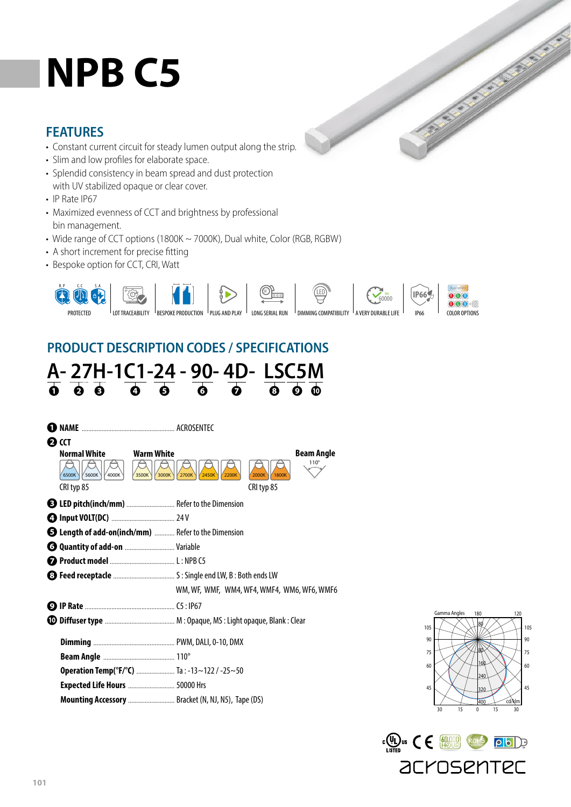# **NPB C5**

#### **FEATURES**

- Constant current circuit for steady lumen output along the strip.
- Slim and low profiles for elaborate space.
- Splendid consistency in beam spread and dust protection with UV stabilized opaque or clear cover.
- IP Rate IP67
- Maximized evenness of CCT and brightness by professional bin management.
- Wide range of CCT options (1800K ~ 7000K), Dual white, Color (RGB, RGBW)
- A short increment for precise fitting
- Bespoke option for CCT, CRI, Watt



 $\overline{\phantom{a}}$ 

# **PRODUCT DESCRIPTION CODES / SPECIFICATIONS**





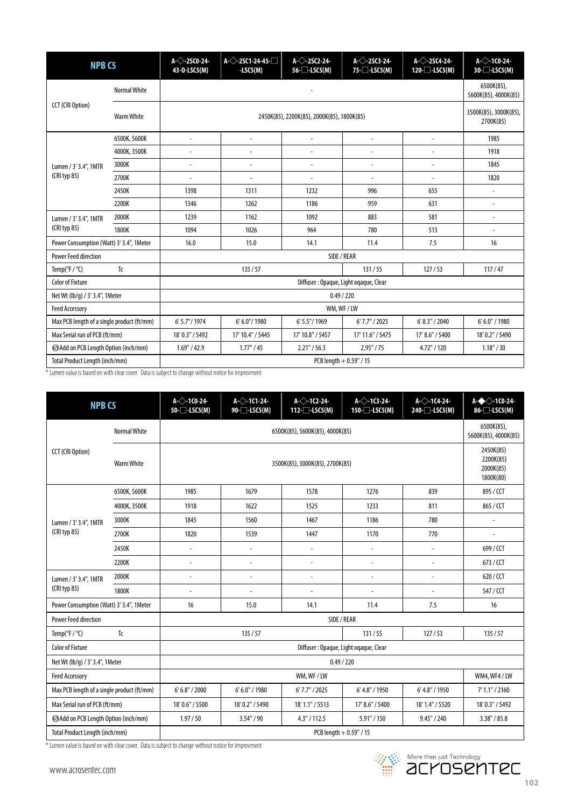| <b>NPB C5</b>                                |                     | $A \left\diagup$ -2SCO-24-<br>43-0-LSC5(M) | $A \Diamond 25C1-24-45$<br>$-LSC5(M)$ | $A \bigcirc 25C2 - 24$<br>$56$ - $\Box$ -LSC5(M) | $A \leftarrow 25C3-24$<br>$75$ - $\Box$ -LSC5(M) | $A \rightarrow 25C4-24$<br>$120 - $ LSC5(M) | $A<$ -1CO-24-<br>$30$ - $\Box$ -LSC5(M) |  |
|----------------------------------------------|---------------------|--------------------------------------------|---------------------------------------|--------------------------------------------------|--------------------------------------------------|---------------------------------------------|-----------------------------------------|--|
| <b>CCT (CRI Option)</b>                      | <b>Normal White</b> |                                            | 6500K(85),<br>5600K(85), 4000K(85)    |                                                  |                                                  |                                             |                                         |  |
|                                              | <b>Warm White</b>   |                                            | 3500K(85), 3000K(85),<br>2700K(85)    |                                                  |                                                  |                                             |                                         |  |
| Lumen / 3' 3.4", 1MTR<br>(CRI typ 85)        | 6500K, 5600K        | ÷,                                         | $\sim$                                | $\sim$                                           | $\sim$                                           | $\overline{\phantom{a}}$                    | 1985                                    |  |
|                                              | 4000K, 3500K        | $\overline{\phantom{a}}$                   | Ĭ.                                    | $\overline{a}$                                   | $\overline{a}$                                   | $\overline{a}$                              | 1918                                    |  |
|                                              | 3000K               | ÷,                                         | ÷,                                    | $\overline{a}$                                   | L.                                               | $\overline{a}$                              | 1845                                    |  |
|                                              | 2700K               | $\overline{a}$                             | Ĭ.                                    |                                                  | $\overline{a}$                                   |                                             | 1820                                    |  |
|                                              | 2450K               | 1398                                       | 1311                                  | 1232                                             | 996                                              | 655                                         |                                         |  |
|                                              | 2200K               | 1346                                       | 1262                                  | 1186                                             | 959                                              | 631                                         |                                         |  |
| Lumen / 3' 3.4", 1MTR<br>(CRI typ 85)        | 2000K               | 1239                                       | 1162                                  | 1092                                             | 883                                              | 581                                         | $\overline{a}$                          |  |
|                                              | 1800K               | 1094                                       | 1026                                  | 964                                              | 780                                              | 513                                         | $\overline{\phantom{a}}$                |  |
| Power Consumption (Watt) 3' 3.4", 1Meter     |                     | 16.0                                       | 15.0                                  | 14.1                                             | 11.4                                             | 7.5                                         | 16                                      |  |
| <b>Power Feed direction</b>                  |                     |                                            |                                       |                                                  |                                                  |                                             |                                         |  |
| Tc<br>Temp( ${}^{\circ}$ F / ${}^{\circ}$ C) |                     | 135/57<br>131/55<br>127/53                 |                                       |                                                  |                                                  | 117/47                                      |                                         |  |
| <b>Color of Fixture</b>                      |                     | Diffuser: Opaque, Light ogaque, Clear      |                                       |                                                  |                                                  |                                             |                                         |  |
| Net Wt (lb/g) / 3' 3.4", 1Meter              |                     | 0.49 / 220                                 |                                       |                                                  |                                                  |                                             |                                         |  |
| <b>Feed Accessory</b>                        |                     | WM, WF / LW                                |                                       |                                                  |                                                  |                                             |                                         |  |
| Max PCB length of a single product (ft/mm)   |                     | 6' 5.7"/ 1974                              | 6' 6.0"/ 1980                         | 6' 5.5"/1969                                     | $6'$ 7.7" / 2025                                 | 6' 8.3'' / 2040                             | 6' 6.0" / 1980                          |  |
| Max Serial run of PCB (ft/mm)                |                     | 18' 0.3" / 5492                            | 17' 10.4" / 5445                      | 17' 10.8" / 5457                                 | 17' 11.6" / 5475                                 | 17' 8.6" / 5400                             | 18' 0.2" / 5490                         |  |
| Add on PCB Length Option (inch/mm)           |                     | 1.69" / 42.9                               | 1.77" / 45                            | $2.21$ " / 56.3                                  | 2.95" / 75                                       | 4.72" / 120                                 | 1.18" / 30                              |  |
| Total Product Length (inch/mm)               |                     | $PCB$ length $+ 0.59$ " / 15               |                                       |                                                  |                                                  |                                             |                                         |  |

\* Lumen value is based on with clear cover. Data is subject to change without notice for improvment

| <b>NPB C5</b>                              |                     | $A<$ -1CO-24-<br>$50$ - $\Box$ -LSC5(M) | $A \triangle 1$ C1-24-<br>90-□-LSC5(M)           | $A \leftarrow 1C2-24$<br>$112 - $ LSC5(M) | $A \Diamond 1$ C3-24-<br>$150 - $ LSC5(M) | $A \triangle 1$ C4-24-<br>240-□-LSC5(M) | $A \rightarrow 10.24$<br>86-□-LSC5(M) |  |
|--------------------------------------------|---------------------|-----------------------------------------|--------------------------------------------------|-------------------------------------------|-------------------------------------------|-----------------------------------------|---------------------------------------|--|
|                                            | <b>Normal White</b> |                                         | 6500K(85),<br>5600K(85), 4000K(85)               |                                           |                                           |                                         |                                       |  |
| <b>CCT</b> (CRI Option)                    | <b>Warm White</b>   |                                         | 2450K(85)<br>2200K(85)<br>2000K(85)<br>1800K(80) |                                           |                                           |                                         |                                       |  |
| Lumen / 3' 3.4", 1MTR<br>(CRI typ 85)      | 6500K, 5600K        | 1985                                    | 1679                                             | 1578                                      | 1276                                      | 839                                     | 895 / CCT                             |  |
|                                            | 4000K, 3500K        | 1918                                    | 1622                                             | 1525                                      | 1233                                      | 811                                     | 865 / CCT                             |  |
|                                            | 3000K               | 1845                                    | 1560                                             | 1467                                      | 1186                                      | 780                                     |                                       |  |
|                                            | 2700K               | 1820                                    | 1539                                             | 1447                                      | 1170                                      | 770                                     |                                       |  |
|                                            | 2450K               | $\overline{a}$                          | ÷,                                               | ÷,                                        | $\overline{a}$                            | $\overline{\phantom{a}}$                | 699 / CCT                             |  |
|                                            | 2200K               | $\overline{a}$                          | ÷,                                               | ÷,                                        | $\overline{a}$                            | $\overline{a}$                          | $673 /$ CCT                           |  |
| Lumen / 3' 3.4", 1MTR<br>(CRI typ 85)      | 2000K               | $\overline{a}$                          | ÷,                                               | ÷,                                        | $\overline{a}$                            | $\overline{a}$                          | 620 / CCT                             |  |
|                                            | 1800K               | $\overline{\phantom{a}}$                | $\overline{a}$                                   | ÷,                                        | $\overline{a}$                            | $\overline{a}$                          | 547 / CCT                             |  |
| Power Consumption (Watt) 3' 3.4", 1Meter   |                     | 16                                      | 15.0                                             | 14.1                                      | 11.4                                      | 7.5                                     | 16                                    |  |
| <b>Power Feed direction</b>                |                     |                                         |                                                  |                                           |                                           |                                         |                                       |  |
| Temp( ${}^{\circ}$ F / ${}^{\circ}$ C)     | Tc                  | 135/57<br>131/55<br>127/53              |                                                  | 135/57                                    |                                           |                                         |                                       |  |
| <b>Color of Fixture</b>                    |                     | Diffuser: Opaque, Light ogaque, Clear   |                                                  |                                           |                                           |                                         |                                       |  |
| Net Wt (lb/q) / 3' 3.4", 1Meter            |                     | 0.49 / 220                              |                                                  |                                           |                                           |                                         |                                       |  |
| <b>Feed Accessory</b>                      |                     |                                         | WM4, WF4 / LW                                    |                                           |                                           |                                         |                                       |  |
| Max PCB length of a single product (ft/mm) |                     | 6' 6.8'' / 2000                         | 6' 6.0" / 1980                                   | 6'7.7''/2025                              | 6' 4.8" / 1950                            | 6' 4.8" / 1950                          | 7' 1.1'' / 2160                       |  |
| Max Serial run of PCB (ft/mm)              |                     | 18' 0.6" / 5500                         | 18' 0.2" / 5490                                  | 18' 1.1" / 5513                           | 17' 8.6" / 5400                           | 18' 1.4" / 5520                         | 18' 0.3" / 5492                       |  |
| Add on PCB Length Option (inch/mm)         |                     | 1.97 / 50                               | 3.54" / 90                                       | 4.3" / 112.5                              | 5.91" / 150                               | 9.45" / 240                             | 3.38" / 85.8                          |  |
| Total Product Length (inch/mm)             |                     | PCB length + 0.59" / 15                 |                                                  |                                           |                                           |                                         |                                       |  |

\* Lumen value is based on with clear cover. Data is subject to change without notice for improvment

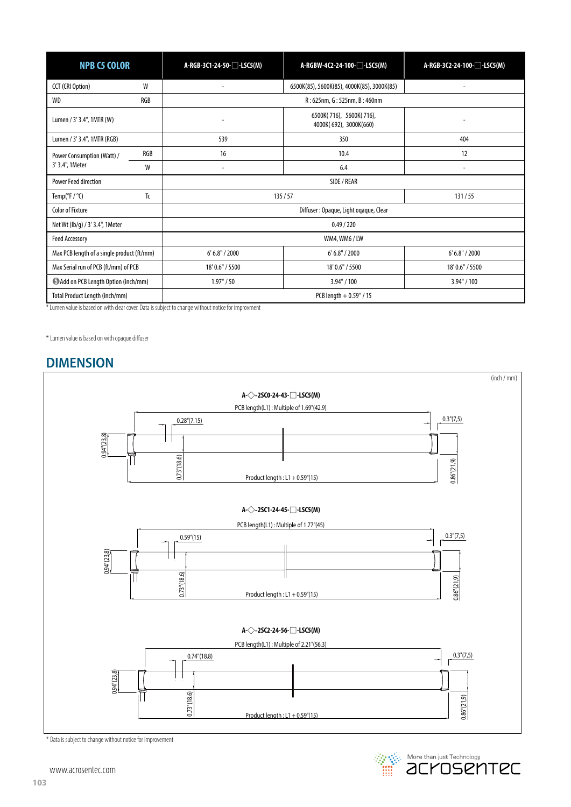| <b>NPB C5 COLOR</b>                        |                                       | A-RGBW-4C2-24-100-□-LSC5(M)<br>A-RGB-3C1-24-50-□-LSC5(M) |                                            | A-RGB-3C2-24-100- <sup>1</sup> -LSC5(M) |  |  |
|--------------------------------------------|---------------------------------------|----------------------------------------------------------|--------------------------------------------|-----------------------------------------|--|--|
| <b>CCT (CRI Option)</b>                    | W                                     |                                                          | 6500K(85), 5600K(85), 4000K(85), 3000K(85) |                                         |  |  |
| WD                                         | RGB                                   | R: 625nm, G: 525nm, B: 460nm                             |                                            |                                         |  |  |
| Lumen / 3' 3.4", 1MTR (W)                  |                                       | 6500K(716), 5600K(716),<br>4000K(692), 3000K(660)        |                                            |                                         |  |  |
| Lumen / 3' 3.4", 1MTR (RGB)                |                                       | 539                                                      | 350                                        | 404                                     |  |  |
| Power Consumption (Watt) /                 | RGB                                   | 16                                                       | 10.4                                       | 12                                      |  |  |
| 3' 3.4", 1Meter                            | W                                     | $\overline{a}$                                           | 6.4                                        | $\overline{\phantom{a}}$                |  |  |
| <b>Power Feed direction</b>                |                                       | SIDE / REAR                                              |                                            |                                         |  |  |
| Temp( ${}^{\circ}$ F / ${}^{\circ}$ C)     | Tc                                    | 135/57<br>131/55                                         |                                            |                                         |  |  |
| <b>Color of Fixture</b>                    | Diffuser: Opaque, Light ogaque, Clear |                                                          |                                            |                                         |  |  |
| Net Wt (lb/g) / 3' 3.4", 1Meter            |                                       | 0.49 / 220                                               |                                            |                                         |  |  |
| <b>Feed Accessory</b>                      |                                       | WM4, WM6 / LW                                            |                                            |                                         |  |  |
| Max PCB length of a single product (ft/mm) |                                       | 6' 6.8'' / 2000                                          | 6' 6.8'' / 2000                            | 6' 6.8'' / 2000                         |  |  |
| Max Serial run of PCB (ft/mm) of PCB       |                                       | 18' 0.6" / 5500                                          | 18' 0.6" / 5500                            | 18' 0.6" / 5500                         |  |  |
| Add on PCB Length Option (inch/mm)         |                                       | 1.97" / 50                                               | 3.94" / 100                                | 3.94" / 100                             |  |  |
| Total Product Length (inch/mm)             |                                       | PCB length $+0.59$ " / 15                                |                                            |                                         |  |  |

\* Lumen value is based on with clear cover. Data is subject to change without notice for improvment

\* Lumen value is based on with opaque diffuser

#### **DIMENSION**



\* Data is subject to change without notice for improvement

www.acrosentec.com

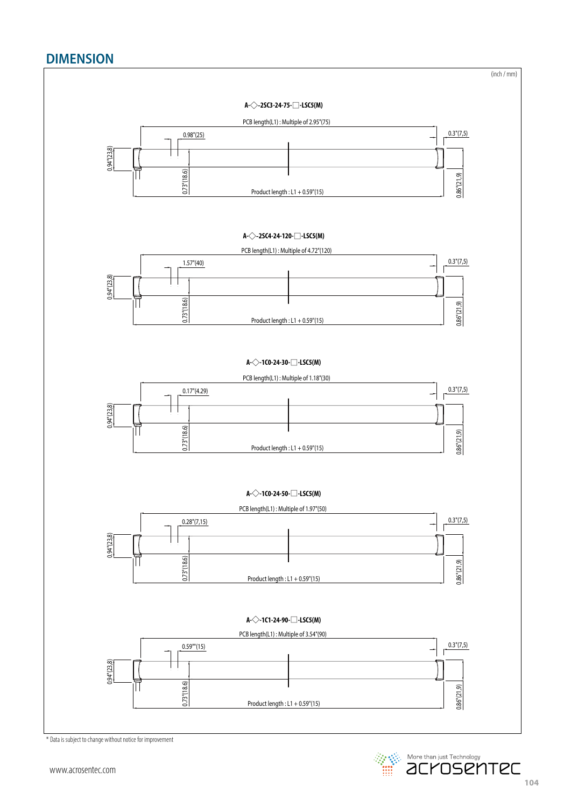## **DIMENSION**



\* Data is subject to change without notice for improvement

**Example 2018** More than just Technology<br> **EXAMPLE 2019 THE 2019**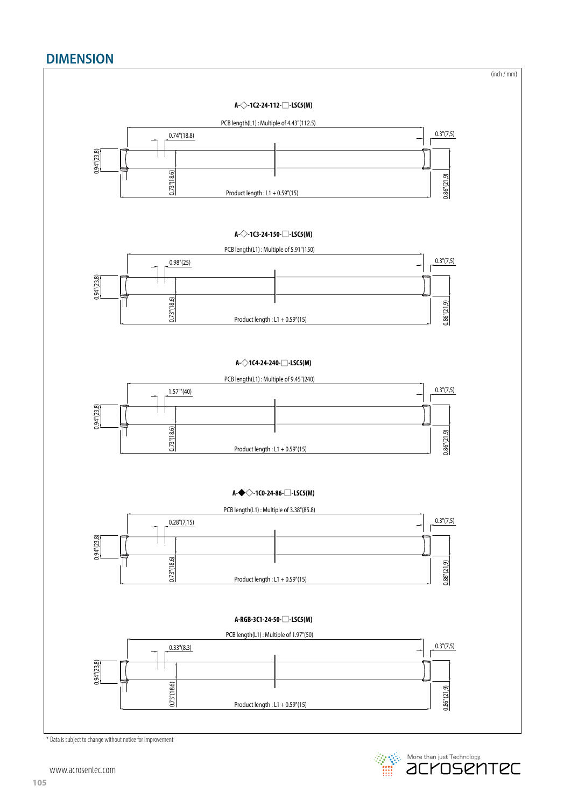## **DIMENSION**



**Example 2014** More than just Technology<br> **EXAMPLE 2014 Technology** 

www.acrosentec.com